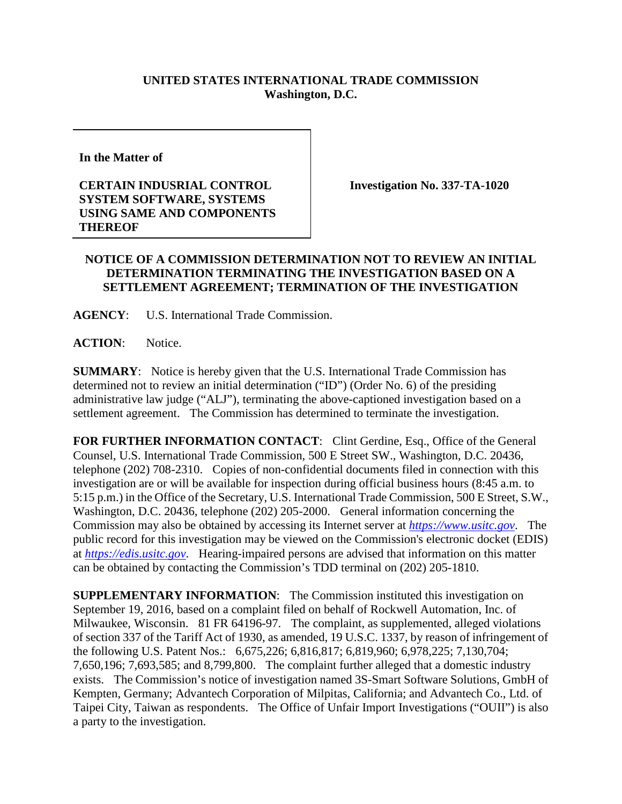## **UNITED STATES INTERNATIONAL TRADE COMMISSION Washington, D.C.**

**In the Matter of** 

**CERTAIN INDUSRIAL CONTROL SYSTEM SOFTWARE, SYSTEMS USING SAME AND COMPONENTS THEREOF**

**Investigation No. 337-TA-1020**

## **NOTICE OF A COMMISSION DETERMINATION NOT TO REVIEW AN INITIAL DETERMINATION TERMINATING THE INVESTIGATION BASED ON A SETTLEMENT AGREEMENT; TERMINATION OF THE INVESTIGATION**

**AGENCY**: U.S. International Trade Commission.

**ACTION**: Notice.

**SUMMARY**: Notice is hereby given that the U.S. International Trade Commission has determined not to review an initial determination ("ID") (Order No. 6) of the presiding administrative law judge ("ALJ"), terminating the above-captioned investigation based on a settlement agreement. The Commission has determined to terminate the investigation.

FOR FURTHER INFORMATION CONTACT: Clint Gerdine, Esq., Office of the General Counsel, U.S. International Trade Commission, 500 E Street SW., Washington, D.C. 20436, telephone (202) 708-2310. Copies of non-confidential documents filed in connection with this investigation are or will be available for inspection during official business hours (8:45 a.m. to 5:15 p.m.) in the Office of the Secretary, U.S. International Trade Commission, 500 E Street, S.W., Washington, D.C. 20436, telephone (202) 205-2000. General information concerning the Commission may also be obtained by accessing its Internet server at *[https://www.usitc.gov](https://www.usitc.gov/)*. The public record for this investigation may be viewed on the Commission's electronic docket (EDIS) at *[https://edis.usitc.gov](https://edis.usitc.gov/)*. Hearing-impaired persons are advised that information on this matter can be obtained by contacting the Commission's TDD terminal on (202) 205-1810.

**SUPPLEMENTARY INFORMATION:** The Commission instituted this investigation on September 19, 2016, based on a complaint filed on behalf of Rockwell Automation, Inc. of Milwaukee, Wisconsin. 81 FR 64196-97. The complaint, as supplemented, alleged violations of section 337 of the Tariff Act of 1930, as amended, 19 U.S.C. 1337, by reason of infringement of the following U.S. Patent Nos.: 6,675,226; 6,816,817; 6,819,960; 6,978,225; 7,130,704; 7,650,196; 7,693,585; and 8,799,800. The complaint further alleged that a domestic industry exists. The Commission's notice of investigation named 3S-Smart Software Solutions, GmbH of Kempten, Germany; Advantech Corporation of Milpitas, California; and Advantech Co., Ltd. of Taipei City, Taiwan as respondents. The Office of Unfair Import Investigations ("OUII") is also a party to the investigation.